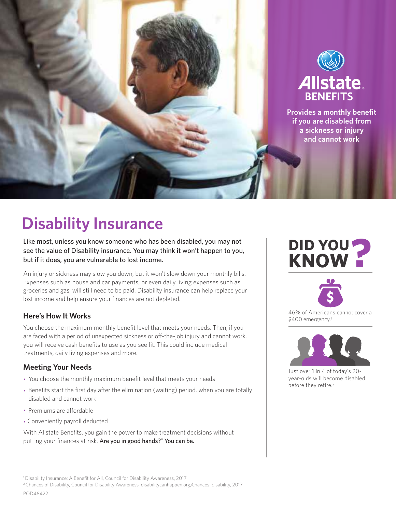

# **Disability Insurance**

Like most, unless you know someone who has been disabled, you may not see the value of Disability insurance. You may think it won't happen to you, but if it does, you are vulnerable to lost income.

An injury or sickness may slow you down, but it won't slow down your monthly bills. Expenses such as house and car payments, or even daily living expenses such as groceries and gas, will still need to be paid. Disability insurance can help replace your lost income and help ensure your finances are not depleted.

# **Here's How It Works**

You choose the maximum monthly benefit level that meets your needs. Then, if you are faced with a period of unexpected sickness or off-the-job injury and cannot work, you will receive cash benefits to use as you see fit. This could include medical treatments, daily living expenses and more.

# **Meeting Your Needs**

- You choose the monthly maximum benefit level that meets your needs
- Benefits start the first day after the elimination (waiting) period, when you are totally disabled and cannot work
- Premiums are affordable
- Conveniently payroll deducted

With Allstate Benefits, you gain the power to make treatment decisions without putting your finances at risk. Are you in good hands?® You can be.

# **DID YOU KNOW?**



46% of Americans cannot cover a \$400 emergency. 1



Just over 1 in 4 of today's 20 year-olds will become disabled before they retire. 2

<sup>&</sup>lt;sup>1</sup> Disability Insurance: A Benefit for All, Council for Disability Awareness, 2017

<sup>&</sup>lt;sup>2</sup> Chances of Disability, Council for Disability Awareness, disabilitycanhappen.org/chances\_disability, 2017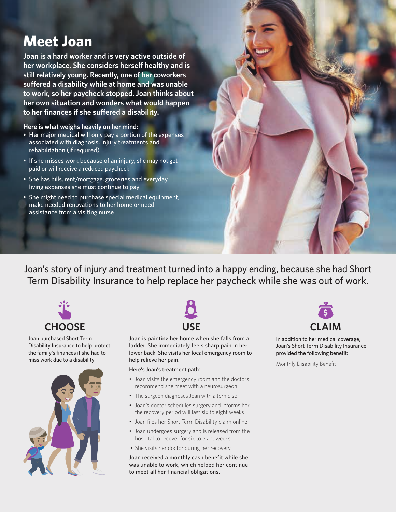# **Meet Joan**

**Joan is a hard worker and is very active outside of her workplace. She considers herself healthy and is still relatively young. Recently, one of her coworkers suffered a disability while at home and was unable to work, so her paycheck stopped. Joan thinks about her own situation and wonders what would happen to her finances if she suffered a disability.** 

**Here is what weighs heavily on her mind:**

- Her major medical will only pay a portion of the expenses associated with diagnosis, injury treatments and rehabilitation (if required)
- If she misses work because of an injury, she may not get paid or will receive a reduced paycheck
- She has bills, rent/mortgage, groceries and everyday living expenses she must continue to pay
- She might need to purchase special medical equipment, make needed renovations to her home or need assistance from a visiting nurse

Joan's story of injury and treatment turned into a happy ending, because she had Short Term Disability Insurance to help replace her paycheck while she was out of work.



Joan purchased Short Term Disability Insurance to help protect the family's finances if she had to miss work due to a disability.





Joan is painting her home when she falls from a ladder. She immediately feels sharp pain in her lower back. She visits her local emergency room to help relieve her pain.

# Here's Joan's treatment path:

- Joan visits the emergency room and the doctors recommend she meet with a neurosurgeon
- The surgeon diagnoses Joan with a torn disc
- Joan's doctor schedules surgery and informs her the recovery period will last six to eight weeks
- Joan files her Short Term Disability claim online
- Joan undergoes surgery and is released from the hospital to recover for six to eight weeks
- She visits her doctor during her recovery

Joan received a monthly cash benefit while she was unable to work, which helped her continue to meet all her financial obligations.



In addition to her medical coverage, Joan's Short Term Disability Insurance provided the following benefit:

Monthly Disability Benefit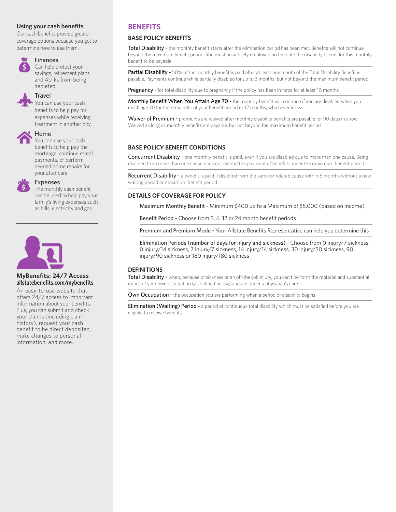# **Using your cash benefits**

Our cash benefits provide greater coverage options because you get to determine how to use them.



# **Finances**

Can help protect your savings, retirement plans and 401ks from being depleted.

# **Travel**

You can use your cash benefits to help pay for expenses while receiving treatment in another city.



# Home

You can use your cash benefits to help pay the mortgage, continue rental payments, or perform needed home repairs for your after care.



## Expenses

The monthly cash benefit can be used to help pay your family's living expenses such as bills, electricity and gas.



#### **MyBenefits: 24/7 Access allstatebenefits.com/mybenefits**

An easy-to-use website that offers 24/7 access to important information about your benefits. Plus, you can submit and check your claims (including claim history), request your cash benefit to be direct deposited, make changes to personal information, and more.

# **BENEFITS**

# **BASE POLICY BENEFITS**

Total Disability - the monthly benefit starts after the elimination period has been met. Benefits will not continue beyond the maximum benefit period. You must be actively employed on the date the disability occurs for this monthly benefit to be payable

Partial Disability - 50% of the monthly benefit is paid after at least one month of the Total Disability Benefit is payable. Payments continue while partially disabled for up to 3 months, but not beyond the maximum benefit period

Pregnancy - for total disability due to pregnancy if the policy has been in force for at least 10 months

Monthly Benefit When You Attain Age 70 - the monthly benefit will continue if you are disabled when you reach age 70 for the remainder of your benefit period or 12 months, whichever is less

Waiver of Premium - premiums are waived after monthly disability benefits are payable for 90 days in a row. Waived as long as monthly benefits are payable, but not beyond the maximum benefit period

# **BASE POLICY BENEFIT CONDITIONS**

Concurrent Disability - one monthly benefit is paid, even if you are disabled due to more than one cause. Being disabled from more than one cause does not extend the payment of benefits under the maximum benefit period

Recurrent Disability - a benefit is paid if disabled from the same or related cause within 6 months without a new waiting period or maximum benefit period

# **DETAILS OF COVERAGE FOR POLICY**

Maximum Monthly Benefit - Minimum \$400 up to a Maximum of \$5,000 (based on income)

Benefit Period - Choose from 3, 6, 12 or 24 month benefit periods

Premium and Premium Mode - Your Allstate Benefits Representative can help you determine this

Elimination Periods (number of days for injury and sickness) - Choose from 0 injury/7 sickness, 0 injury/14 sickness, 7 injury/7 sickness, 14 injury/14 sickness, 30 injury/30 sickness, 90 injury/90 sickness or 180 injury/180 sickness

# **DEFINITIONS**

Total Disability - when, because of sickness or an off-the-job injury, you can't perform the material and substantial duties of your own occupation (as defined below) and are under a physician's care

Own Occupation - the occupation you are performing when a period of disability begins

Elimination (Waiting) Period - a period of continuous total disability which must be satisfied before you are eligible to receive benefits